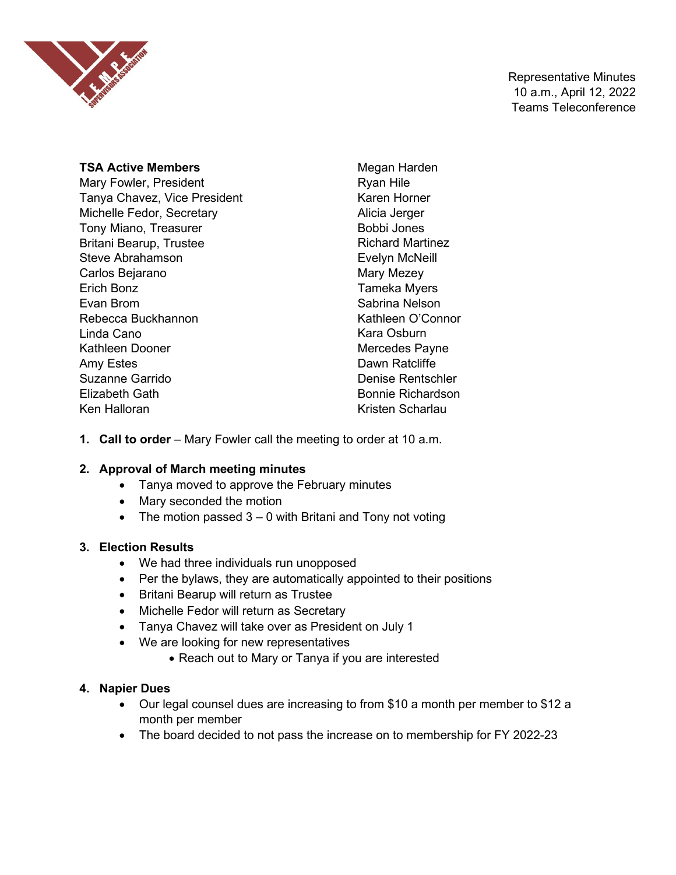

Representative Minutes 10 a.m., April 12, 2022 Teams Teleconference

### **TSA Active Members**

Mary Fowler, President Tanya Chavez, Vice President Michelle Fedor, Secretary Tony Miano, Treasurer Britani Bearup, Trustee Steve Abrahamson Carlos Bejarano Erich Bonz Evan Brom Rebecca Buckhannon Linda Cano Kathleen Dooner Amy Estes Suzanne Garrido Elizabeth Gath Ken Halloran

Megan Harden Ryan Hile Karen Horner Alicia Jerger Bobbi Jones Richard Martinez Evelyn McNeill Mary Mezey Tameka Myers Sabrina Nelson Kathleen O'Connor Kara Osburn Mercedes Payne Dawn Ratcliffe Denise Rentschler Bonnie Richardson Kristen Scharlau

**1. Call to order** – Mary Fowler call the meeting to order at 10 a.m.

# **2. Approval of March meeting minutes**

- Tanya moved to approve the February minutes
- Mary seconded the motion
- The motion passed  $3 0$  with Britani and Tony not voting

### **3. Election Results**

- We had three individuals run unopposed
- Per the bylaws, they are automatically appointed to their positions
- Britani Bearup will return as Trustee
- Michelle Fedor will return as Secretary
- Tanya Chavez will take over as President on July 1
- We are looking for new representatives
	- Reach out to Mary or Tanya if you are interested

### **4. Napier Dues**

- Our legal counsel dues are increasing to from \$10 a month per member to \$12 a month per member
- The board decided to not pass the increase on to membership for FY 2022-23